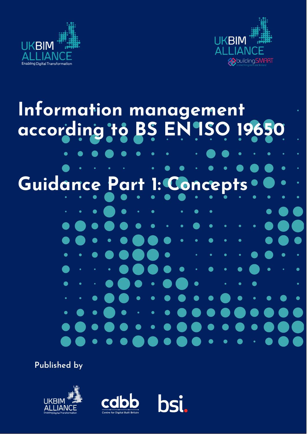



# í **Information management according to BS EN ISO 19650**  $\bullet$ Guid **nce Part 1: Concept**  $\bullet$  $\bullet$  $\bullet$

**Published by**





**bsi.**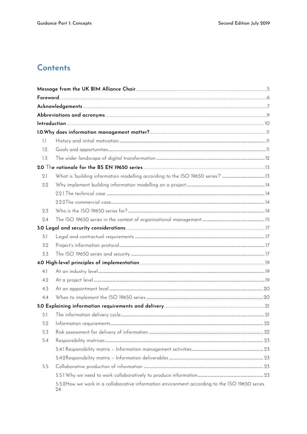# Contents

| 1.1 |                                                                                                     |  |
|-----|-----------------------------------------------------------------------------------------------------|--|
| 1.2 |                                                                                                     |  |
| 1.3 |                                                                                                     |  |
|     |                                                                                                     |  |
| 2.1 | What is 'building information modelling according to the ISO 19650 series'? 13                      |  |
| 2.2 |                                                                                                     |  |
|     |                                                                                                     |  |
|     |                                                                                                     |  |
| 2.3 |                                                                                                     |  |
| 2.4 |                                                                                                     |  |
|     |                                                                                                     |  |
| 3.1 |                                                                                                     |  |
| 3.2 |                                                                                                     |  |
| 3.3 |                                                                                                     |  |
|     |                                                                                                     |  |
| 4.1 |                                                                                                     |  |
| 4.2 |                                                                                                     |  |
| 4.3 |                                                                                                     |  |
| 4.4 |                                                                                                     |  |
|     |                                                                                                     |  |
| 5.1 |                                                                                                     |  |
| 5.2 |                                                                                                     |  |
| 5.3 |                                                                                                     |  |
| 5.4 |                                                                                                     |  |
|     |                                                                                                     |  |
|     |                                                                                                     |  |
| 5.5 |                                                                                                     |  |
|     |                                                                                                     |  |
|     | 5.5.2How we work in a collaborative information environment according to the ISO 19650 series<br>24 |  |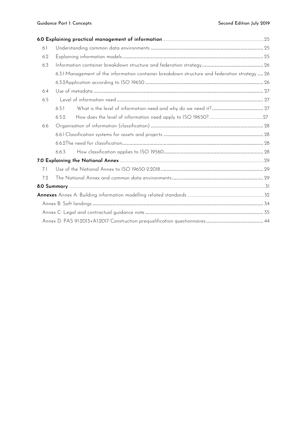| 6.1 |       |                                                                                               |  |  |  |  |
|-----|-------|-----------------------------------------------------------------------------------------------|--|--|--|--|
| 6.2 |       |                                                                                               |  |  |  |  |
| 6.3 |       |                                                                                               |  |  |  |  |
|     |       | 6.3.1 Management of the information container breakdown structure and federation strategy  26 |  |  |  |  |
|     |       |                                                                                               |  |  |  |  |
| 6.4 |       |                                                                                               |  |  |  |  |
| 6.5 |       |                                                                                               |  |  |  |  |
|     | 6.5.1 |                                                                                               |  |  |  |  |
|     | 6.5.2 |                                                                                               |  |  |  |  |
| 6.6 |       |                                                                                               |  |  |  |  |
|     |       |                                                                                               |  |  |  |  |
|     |       |                                                                                               |  |  |  |  |
|     | 6.6.3 |                                                                                               |  |  |  |  |
|     |       |                                                                                               |  |  |  |  |
| 7.1 |       |                                                                                               |  |  |  |  |
| 7.2 |       |                                                                                               |  |  |  |  |
|     |       |                                                                                               |  |  |  |  |
|     |       |                                                                                               |  |  |  |  |
|     |       |                                                                                               |  |  |  |  |
|     |       |                                                                                               |  |  |  |  |
|     |       |                                                                                               |  |  |  |  |
|     |       |                                                                                               |  |  |  |  |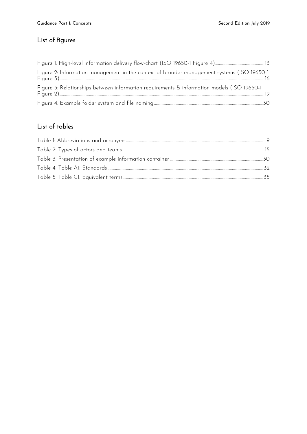# List of figures

| Figure 2: Information management in the context of broader management systems (ISO 19650-1 |  |
|--------------------------------------------------------------------------------------------|--|
| Figure 3: Relationships between information requirements & information models (ISO 19650-1 |  |
|                                                                                            |  |

## List of tables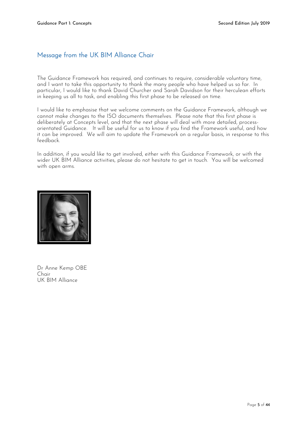## <span id="page-4-0"></span>Message from the UK BIM Alliance Chair

The Guidance Framework has required, and continues to require, considerable voluntary time, and I want to take this opportunity to thank the many people who have helped us so far. In particular, I would like to thank David Churcher and Sarah Davidson for their herculean efforts in keeping us all to task, and enabling this first phase to be released on time.

I would like to emphasise that we welcome comments on the Guidance Framework, although we cannot make changes to the ISO documents themselves. Please note that this first phase is deliberately at Concepts level, and that the next phase will deal with more detailed, processorientated Guidance. It will be useful for us to know if you find the Framework useful, and how it can be improved. We will aim to update the Framework on a regular basis, in response to this feedback.

In addition, if you would like to get involved, either with this Guidance Framework, or with the wider UK BIM Alliance activities, please do not hesitate to get in touch. You will be welcomed with open arms.



Dr Anne Kemp OBE Chair UK BIM Alliance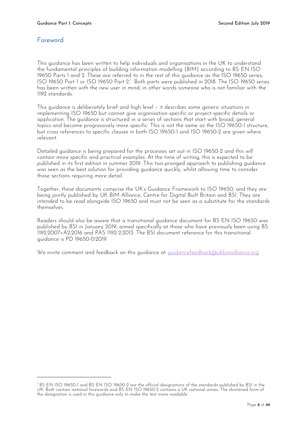## <span id="page-5-0"></span>Foreword

-

This guidance has been written to help individuals and organisations in the UK to understand the fundamental principles of building information modelling (BIM) according to BS EN ISO 19650 Parts 1 and 2. These are referred to in the rest of this guidance as the ISO 19650 series, ISO 19650 Part 1 or ISO 19650 Part 2.<sup>1</sup> Both parts were published in 2018. The ISO 19650 series has been written with the new user in mind, in other words someone who is not familiar with the 1192 standards.

This guidance is deliberately brief and high level – it describes some generic situations in implementing ISO 19650 but cannot give organisation-specific or project-specific details or application. The guidance is structured in a series of sections that start with broad, general topics and become progressively more specific. This is not the same as the ISO 19650-1 structure, but cross references to specific clauses in both ISO 19650-1 and ISO 19650-2 are given where relevant.

Detailed guidance is being prepared for the processes set out in ISO 19650-2 and this will contain more specific and practical examples. At the time of writing, this is expected to be published in its first edition in summer 2019. This two-pronged approach to publishing guidance was seen as the best solution for providing guidance quickly, whilst allowing time to consider those sections requiring more detail.

Together, these documents comprise the UK's Guidance Framework to ISO 19650, and they are being jointly published by UK BIM Alliance, Centre for Digital Built Britain and BSI. They are intended to be read alongside ISO 19650 and must not be seen as a substitute for the standards themselves.

Readers should also be aware that a transitional guidance document for BS EN ISO 19650 was published by BSI in January 2019, aimed specifically at those who have previously been using BS 1192:2007+A2:2016 and PAS 1192-2:2013. The BSI document reference for this transitional guidance is PD 19650-0:2019.

We invite comment and feedback on this quidance at quidancefeedback@ukbimalliance.org

<sup>1</sup> BS EN ISO 19650-1 and BS EN ISO 19650-2 are the official designations of the standards published by BSI in the UK. Both contain national forewords and BS EN ISO 19650-2 contains a UK national annex. The shortened form of the designation is used in this guidance only to make the text more readable.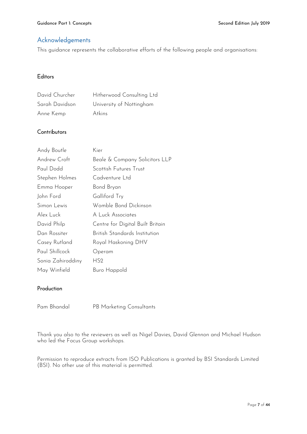## <span id="page-6-0"></span>Acknowledgements

This guidance represents the collaborative efforts of the following people and organisations:

## **Editors**

| David Churcher | Hitherwood Consulting Ltd |
|----------------|---------------------------|
| Sarah Davidson | University of Nottingham  |
| Anne Kemp      | Atkins                    |

## **Contributors**

| Andy Boutle       | Kier                             |
|-------------------|----------------------------------|
| Andrew Croft      | Beale & Company Solicitors LLP   |
| Paul Dodd         | Scottish Futures Trust           |
| Stephen Holmes    | Cadventure Ltd                   |
| Emma Hooper       | Bond Bryan                       |
| John Ford         | Galliford Try                    |
| Simon Lewis       | Womble Bond Dickinson            |
| Alex Luck         | A Luck Associates                |
| David Philp       | Centre for Digital Built Britain |
| Dan Rossiter      | British Standards Institution    |
| Casey Rutland     | Royal Haskoning DHV              |
| Paul Shillcock    | Operam                           |
| Sonia Zahiroddiny | HS2                              |
| May Winfield      | Buro Happold                     |

## Production

Pam Bhandal PB Marketing Consultants

Thank you also to the reviewers as well as Nigel Davies, David Glennon and Michael Hudson who led the Focus Group workshops.

Permission to reproduce extracts from ISO Publications is granted by BSI Standards Limited (BSI). No other use of this material is permitted.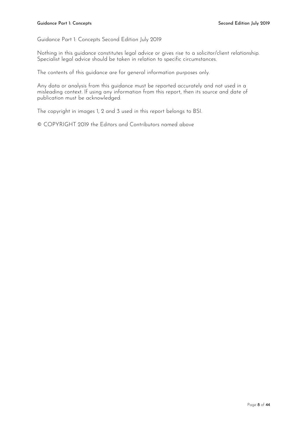Guidance Part 1: Concepts Second Edition July 2019

Nothing in this guidance constitutes legal advice or gives rise to a solicitor/client relationship. Specialist legal advice should be taken in relation to specific circumstances.

The contents of this guidance are for general information purposes only.

Any data or analysis from this guidance must be reported accurately and not used in a misleading context. If using any information from this report, then its source and date of publication must be acknowledged.

The copyright in images 1, 2 and 3 used in this report belongs to BSI.

© COPYRIGHT 2019 the Editors and Contributors named above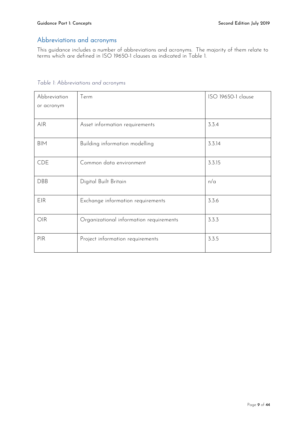## <span id="page-8-0"></span>Abbreviations and acronyms

This guidance includes a number of abbreviations and acronyms. The majority of them relate to terms which are defined in ISO 19650-1 clauses as indicated in [Table 1.](#page-8-1)

| rapic <i>i. r</i> wpreviations and acronyms |                                         |                    |
|---------------------------------------------|-----------------------------------------|--------------------|
| Abbreviation                                | Term                                    | ISO 19650-1 clause |
| or acronym                                  |                                         |                    |
| <b>AIR</b>                                  | Asset information requirements          | 3.3.4              |
| <b>BIM</b>                                  | Building information modelling          | 3.3.14             |
| <b>CDE</b>                                  | Common data environment                 | 3.3.15             |
| DBB                                         | Digital Built Britain                   | n/a                |
| EIR                                         | Exchange information requirements       | 3.3.6              |
| OIR                                         | Organizational information requirements | 3.3.3              |
| <b>PIR</b>                                  | Project information requirements        | 3.3.5              |
|                                             |                                         |                    |

## <span id="page-8-1"></span>*Table 1: Abbreviations and acronyms*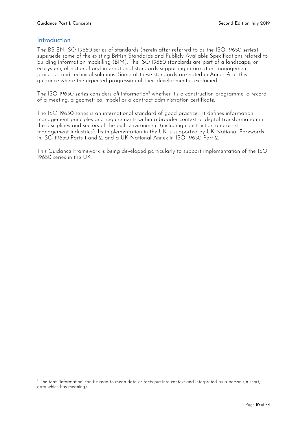## <span id="page-9-0"></span>Introduction

-

The BS EN ISO 19650 series of standards (herein after referred to as the ISO 19650 series) supersede some of the existing British Standards and Publicly Available Specifications related to building information modelling (BIM). The ISO 19650 standards are part of a landscape, or ecosystem, of national and international standards supporting information management processes and technical solutions. Some of these standards are noted in Annex A of this guidance where the expected progression of their development is explained.

The ISO 19650 series considers *all* information<sup>2</sup> whether it's a construction programme, a record of a meeting, a geometrical model or a contract administration certificate.

The ISO 19650 series is an international standard of good practice. It defines information management principles and requirements within a broader context of digital transformation in the disciplines and sectors of the built environment (including construction and asset management industries). Its implementation in the UK is supported by UK National Forewords in ISO 19650 Parts 1 and 2, and a UK National Annex in ISO 19650 Part 2.

This Guidance Framework is being developed particularly to support implementation of the ISO 19650 series in the UK.

<sup>&</sup>lt;sup>2</sup> The term 'information' can be read to mean data or facts put into context and interpreted by a person (in short, data which has meaning).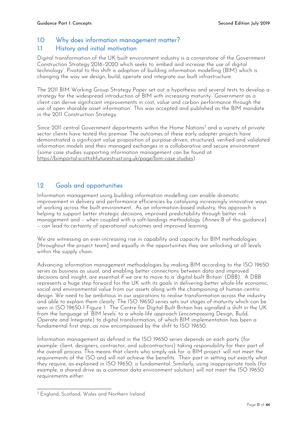## <span id="page-10-1"></span><span id="page-10-0"></span>1.0 Why does information management matter? 1.1 History and initial motivation

Digital transformation of the UK built environment industry is a cornerstone of the Government Construction Strategy 2016–2020 which seeks to 'embed and increase the use of digital technology'. Pivotal to this shift is adoption of building information modelling (BIM) which is changing the way we design, build, operate and integrate our built infrastructure.

The 2011 BIM Working Group Strategy Paper set out a hypothesis and several tests to develop a strategy for the widespread introduction of BIM with increasing maturity: 'Government as a client can derive significant improvements in cost, value and carbon performance through the use of open sharable asset information'. This was accepted and published as the BIM mandate in the 2011 Construction Strategy.

Since 2011 central Government departments within the Home Nations<sup>3</sup> and a variety of private sector clients have tested this premise. The outcomes of these early adopter projects have demonstrated a significant value proposition of purpose-driven, structured, verified and validated information models and their managed exchanges in a collaborative and secure environment (some case studies supporting information management can be found at: [https://bimportal.scottishfuturestrust.org.uk/page/bim-case-studies\)](https://bimportal.scottishfuturestrust.org.uk/page/bim-case-studies).

## <span id="page-10-2"></span>1.2 Goals and opportunities

Information management using building information modelling can enable dramatic improvement in delivery and performance efficiencies by catalysing increasingly innovative ways of working across the built environment. As an information-based industry, this approach is helping to support better strategic decisions, improved predictability through better risk management and – when coupled with a soft-landings methodology (Annex B of this guidance) – can lead to certainty of operational outcomes and improved learning.

We are witnessing an ever-increasing rise in capability and capacity for BIM methodologies [throughout the project team] and equally in the opportunities they are unlocking at all levels within the supply chain.

Advancing information management methodologies by making BIM according to the ISO 19650 series as business as usual, and enabling better connections between data and improved decisions and insight, are essential if we are to move to a 'digital built Britain' (DBB). A DBB represents a huge step forward for the UK with its goals in delivering better whole-life economic, social and environmental value from our assets along with the championing of human-centric design. We need to be ambitious in our aspirations to realise transformation across the industry and able to explain them clearly. The ISO 19650 series sets out *stages of maturity* which can be seen in ISO 19650-1 Figure 1. The Centre for Digital Built Britain has signalled a shift in the UK from the language of 'BIM levels' to a whole-life approach (encompassing Design, Build, Operate and Integrate) to digital transformation, of which BIM implementation has been a fundamental first step, as now encompassed by the shift to ISO 19650.

Information management as defined in the ISO 19650 series depends on each party (for example: client, designers, contractor, and subcontractors) taking responsibility for their part of the overall process. This means that clients who simply ask for 'a BIM project' will not meet the requirements of the ISO and will not achieve the benefits. Their part in setting out exactly what they require, as explained in ISO 19650, is fundamental. Similarly, using inappropriate tools (for example, a shared drive as a common data environment solution) will not meet the ISO 19650 requirements either.

<sup>-</sup><sup>3</sup> England, Scotland, Wales and Northern Ireland.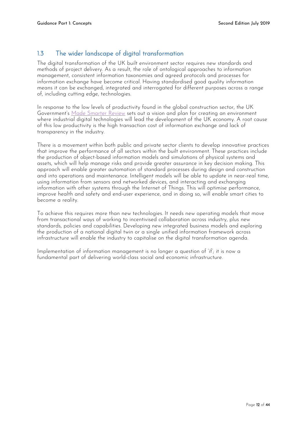## <span id="page-11-0"></span>1.3 The wider landscape of digital transformation

The digital transformation of the UK built environment sector requires new standards and methods of project delivery. As a result, the role of ontological approaches to information management, consistent information taxonomies and agreed protocols and processes for information exchange have become critical. Having standardised good quality information means it can be exchanged, integrated and interrogated for different purposes across a range of, including cutting edge, technologies.

In response to the low levels of productivity found in the global construction sector, the UK Government's [Made Smarter Review](https://www.gov.uk/government/publications/made-smarter-review) sets out a vision and plan for creating an environment where industrial digital technologies will lead the development of the UK economy. A root cause of this low productivity is the high transaction cost of information exchange and lack of transparency in the industry.

There is a movement within both public and private sector clients to develop innovative practices that improve the performance of all sectors within the built environment. These practices include the production of object-based information models and simulations of physical systems and assets, which will help manage risks and provide greater assurance in key decision making. This approach will enable greater automation of standard processes during design and construction and into operations and maintenance. Intelligent models will be able to update in near-real time, using information from sensors and networked devices, and interacting and exchanging information with other systems through the Internet of Things. This will optimise performance, improve health and safety and end-user experience, and in doing so, will enable smart cities to become a reality.

To achieve this requires more than new technologies. It needs new operating models that move from transactional ways of working to incentivised collaboration across industry, plus new standards, policies and capabilities. Developing new integrated business models and exploring the production of a national digital twin or a single unified information framework across infrastructure will enable the industry to capitalise on the digital transformation agenda.

Implementation of information management is no longer a question of 'if'; it is now a fundamental part of delivering world-class social and economic infrastructure.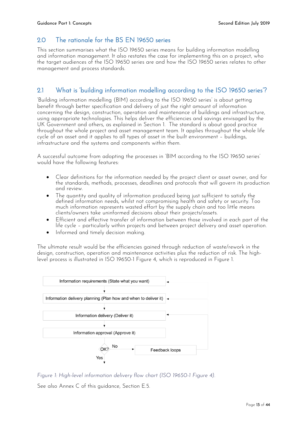## <span id="page-12-0"></span>2.0 The rationale for the BS FN 19650 series

This section summarises what the ISO 19650 series means for building information modelling and information management. It also restates the case for implementing this on a project, who the target audiences of the ISO 19650 series are and how the ISO 19650 series relates to other management and process standards.

## <span id="page-12-1"></span>2.1 What is 'building information modelling according to the ISO 19650 series'?

'Building information modelling (BIM) according to the ISO 19650 series' is about getting benefit through better specification and delivery of just the right amount of information concerning the design, construction, operation and maintenance of buildings and infrastructure, using appropriate technologies. This helps deliver the efficiencies and savings envisaged by the UK Government and others, as explained in Section 1. The standard is about good practice throughout the whole project and asset management team. It applies throughout the whole life cycle of an asset and it applies to all types of asset in the built environment – buildings, infrastructure and the systems and components within them.

A successful outcome from adopting the processes in 'BIM according to the ISO 19650 series' would have the following features:

- Clear definitions for the information needed by the project client or asset owner, and for the standards, methods, processes, deadlines and protocols that will govern its production and review.
- The quantity and quality of information produced being just sufficient to satisfy the defined information needs, whilst not compromising health and safety or security. Too much information represents wasted effort by the supply chain and too little means clients/owners take uninformed decisions about their projects/assets.
- Efficient and effective transfer of information between those involved in each part of the life cycle – particularly within projects and between project delivery and asset operation.
- Informed and timely decision making.

The ultimate result would be the efficiencies gained through reduction of waste/rework in the design, construction, operation and maintenance activities plus the reduction of risk. The highlevel process is illustrated in ISO 19650-1 Figure 4, which is reproduced in Figure 1.

<span id="page-12-2"></span>

*Figure 1: High-level information delivery flow chart (ISO 19650-1 Figure 4).* 

See also Annex C of this guidance, Section E.5.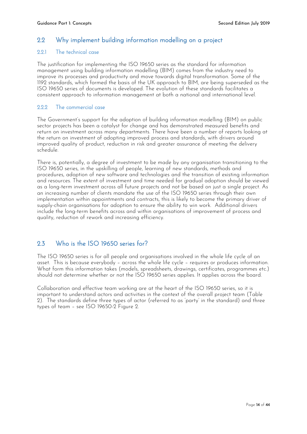## <span id="page-13-0"></span>2.2 Why implement building information modelling on a project

#### <span id="page-13-1"></span>2.2.1 The technical case

The justification for implementing the ISO 19650 series as the standard for information management using building information modelling (BIM) comes from the industry need to improve its processes and productivity and move towards digital transformation. Some of the 1192 standards, which formed the basis of the UK approach to BIM, are being superseded as the ISO 19650 series of documents is developed. The evolution of these standards facilitates a consistent approach to information management at both a national and international level.

#### <span id="page-13-2"></span>2.2.2 The commercial case

The Government's support for the adoption of building information modelling (BIM) on public sector projects has been a catalyst for change and has demonstrated measured benefits and return on investment across many departments. There have been a number of reports looking at the return on investment of adopting improved process and standards, with drivers around improved quality of product, reduction in risk and greater assurance of meeting the delivery schedule.

There is, potentially, a degree of investment to be made by any organisation transitioning to the ISO 19650 series, in the upskilling of people, learning of new standards, methods and procedures, adoption of new software and technologies and the transition of existing information and resources. The extent of investment and time needed for gradual adoption should be viewed as a long-term investment across all future projects and not be based on just a single project. As an increasing number of clients mandate the use of the ISO 19650 series through their own implementation within appointments and contracts, this is likely to become the primary driver of supply-chain organisations for adoption to ensure the ability to win work. Additional drivers include the long-term benefits across and within organisations of improvement of process and quality, reduction of rework and increasing efficiency.

## <span id="page-13-3"></span>2.3 Who is the ISO 19650 series for?

The ISO 19650 series is for all people and organisations involved in the whole life cycle of an asset. This is because everybody – across the whole life cycle – requires or produces information. What form this information takes (models, spreadsheets, drawings, certificates, programmes etc.) should not determine whether or not the ISO 19650 series applies. It applies across the board.

Collaboration and effective team working are at the heart of the ISO 19650 series, so it is important to understand actors and activities in the context of the overall project team (Table 2). The standards define three types of actor (referred to as 'party' in the standard) and three types of team – see ISO 19650-2 Figure 2.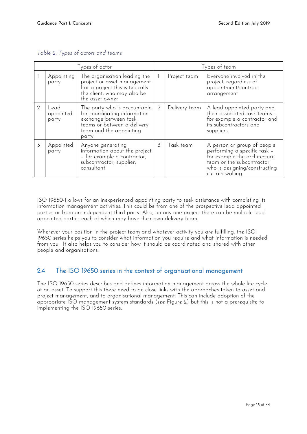| Types of actor |                            | Types of team                                                                                                                                            |                |               |                                                                                                                                                                              |
|----------------|----------------------------|----------------------------------------------------------------------------------------------------------------------------------------------------------|----------------|---------------|------------------------------------------------------------------------------------------------------------------------------------------------------------------------------|
|                | Appointing<br>party        | The organisation leading the<br>project or asset management.<br>For a project this is typically<br>the client, who may also be<br>the asset owner        |                | Project team  | Everyone involved in the<br>project, regardless of<br>appointment/contract<br>arrangement                                                                                    |
| $\overline{2}$ | Lead<br>appointed<br>party | The party who is accountable<br>for coordinating information<br>exchange between task<br>teams or between a delivery<br>team and the appointing<br>party | $\overline{2}$ | Delivery team | A lead appointed party and<br>their associated task teams -<br>for example a contractor and<br>its subcontractors and<br>suppliers                                           |
| 3              | Appointed<br>party         | Anyone generating<br>information about the project<br>- for example a contractor,<br>subcontractor, supplier,<br>consultant                              | 3              | Task team     | A person or group of people<br>performing a specific task -<br>for example the architecture<br>team or the subcontractor<br>who is designing/constructing<br>curtain walling |

<span id="page-14-1"></span>*Table 2: Types of actors and teams*

ISO 19650-1 allows for an inexperienced appointing party to seek assistance with completing its information management activities. This could be from one of the prospective lead appointed parties or from an independent third party. Also, on any one project there can be multiple lead appointed parties each of which may have their own delivery team.

Wherever your position in the project team and whatever activity you are fulfilling, the ISO 19650 series helps you to consider what information you require and what information is needed from you. It also helps you to consider how it should be coordinated and shared with other people and organisations.

## <span id="page-14-0"></span>2.4 The ISO 19650 series in the context of organisational management

The ISO 19650 series describes and defines information management across the whole life cycle of an asset. To support this there need to be close links with the approaches taken to asset and project management, and to organisational management. This can include adoption of the appropriate ISO management system standards (see Figure 2) but this is not a prerequisite to implementing the ISO 19650 series.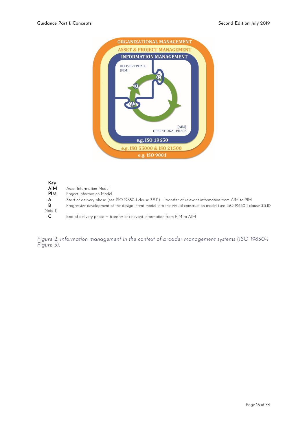

<span id="page-15-0"></span>**Key AIM** Asset Information Model<br>**PIM** Project Information Mode Project Information Model **A** Start of delivery phase (see ISO 19650-1 clause 3.2.11) – transfer of relevant information from AIM to PIM **B**<br>**B** Progressive development of the design intent model into the virtual construction model (see ISO 19650-1 **B** Progressive development of the design intent model into the virtual construction model (see ISO 19650-1 clause 3.3.10 Note 1) **C** End of delivery phase – transfer of relevant information from PIM to AIM

*Figure 2: Information management in the context of broader management systems (ISO 19650-1 Figure 3).*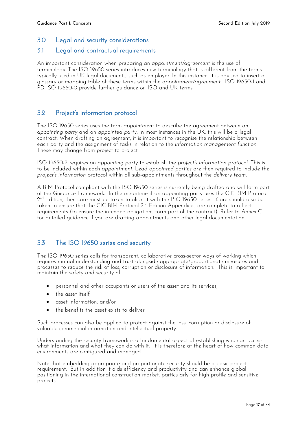## <span id="page-16-0"></span>3.0 Legal and security considerations

### <span id="page-16-1"></span>3.1 Legal and contractual requirements

An important consideration when preparing an *appointment/agreement* is the use of terminology. The ISO 19650 series introduces new terminology that is different from the terms typically used in UK legal documents, such as employer. In this instance, it is advised to insert a glossary or mapping table of these terms within the *appointment/agreement*. ISO 19650-1 and PD ISO 19650-0 provide further guidance on ISO and UK terms

## <span id="page-16-2"></span>3.2 Project's information protocol

The ISO 19650 series uses the term *appointment* to describe the agreement between an *appointing party* and an *appointed party.* In most instances in the UK, this will be a legal contract. When drafting an agreement, it is important to recognise the relationship between each party and the assignment of tasks in relation to the *information management function.*  These may change from project to project.

ISO 19650-2 requires an *appointing party* to establish the *project's information protocol.* This is to be included within each *appointment*. Lead a*ppointed parties* are then required to include the *project's information protocol* within all sub-appointments throughout the *delivery team*.

A BIM Protocol compliant with the ISO 19650 series is currently being drafted and will form part of the Guidance Framework. In the meantime if an appointing party uses the CIC BIM Protocol 2 nd Edition, then care must be taken to align it with the ISO 19650 series. Care should also be taken to ensure that the CIC BIM Protocol  $2^{\text{nd}}$  Edition Appendices are complete to reflect requirements (to ensure the intended obligations form part of the contract). Refer to Annex C for detailed guidance if you are drafting appointments and other legal documentation*.*

## <span id="page-16-3"></span>3.3 The ISO 19650 series and security

The ISO 19650 series calls for transparent, collaborative cross-sector ways of working which requires mutual understanding and trust alongside appropriate/proportionate measures and processes to reduce the risk of loss, corruption or disclosure of information. This is important to maintain the safety and security of:

- personnel and other occupants or users of the asset and its services;
- $\bullet$  the asset itself;
- asset information; and/or
- the benefits the asset exists to deliver.

Such processes can also be applied to protect against the loss, corruption or disclosure of valuable commercial information and intellectual property.

Understanding the security framework is a fundamental aspect of establishing who can access what information and what they can do with it. It is therefore at the heart of how common data environments are configured and managed.

Note that embedding appropriate and proportionate security should be a basic project requirement. But in addition it aids efficiency and productivity and can enhance global positioning in the international construction market, particularly for high profile and sensitive projects.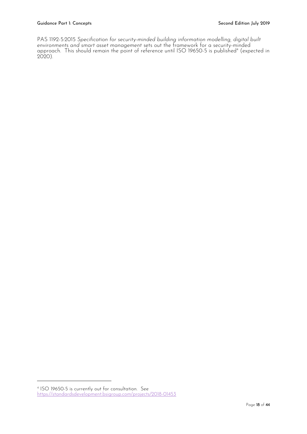PAS 1192-5:2015 *Specification for security-minded building information modelling, digital built environments and smart asset management* sets out the framework for a security-minded approach. This should remain the point of reference until ISO 19650-5 is published<sup>4</sup> (expected in 2020).

-

<sup>4</sup> ISO 19650-5 is currently out for consultation. See <https://standardsdevelopment.bsigroup.com/projects/2018-01453>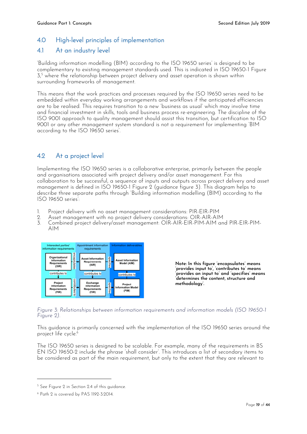## <span id="page-18-0"></span>4.0 High-level principles of implementation

## <span id="page-18-1"></span>4.1 At an industry level

'Building information modelling (BIM) according to the ISO 19650 series' is designed to be complementary to existing management standards used. This is indicated in ISO 19650-1 Figure 3, <sup>5</sup> where the relationship between project delivery and asset operation is shown within surrounding frameworks of management.

This means that the work practices and processes required by the ISO 19650 series need to be embedded within everyday working arrangements and workflows if the anticipated efficiencies are to be realised. This requires transition to a new 'business as usual' which may involve time and financial investment in skills, tools and business process re-engineering. The discipline of the ISO 9001 approach to quality management should assist this transition, but certification to ISO 9001 or any other management system standard is not a requirement for implementing 'BIM according to the ISO 19650 series'.

## <span id="page-18-2"></span>4.2 At a project level

Implementing the ISO 19650 series is a collaborative enterprise, primarily between the people and organisations associated with project delivery and/or asset management. For this collaboration to be successful, a sequence of inputs and outputs across project delivery and asset management is defined in ISO 19650-1 Figure 2 (guidance figure 3). This diagram helps to describe three separate paths through 'Building information modelling (BIM) according to the ISO 19650 series':

- 1. Project delivery with no asset management considerations: PIR-EIR-PIM
- 2. Asset management with no project delivery considerations: OIR-AIR-AIM
- 3. Combined project delivery/asset management: OIR-AIR-EIR-PIM-AIM and PIR-EIR-PIM-AIM



**Note: In this figure 'encapsulates' means 'provides input to', 'contributes to' means 'provides an input to' and 'specifies' means 'determines the content, structure and methodology'.**

<span id="page-18-3"></span>*Figure 3: Relationships between information requirements and information models (ISO 19650-1 Figure 2).*

This guidance is primarily concerned with the implementation of the ISO 19650 series around the project life cycle. 6

The ISO 19650 series is designed to be scalable. For example, many of the requirements in BS EN ISO 19650-2 include the phrase 'shall consider'. This introduces a list of secondary items to be considered as part of the main requirement, but only to the extent that they are relevant to

-

<sup>&</sup>lt;sup>5</sup> See Figure 2 in Section 2.4 of this guidance.

<sup>6</sup> Path 2 is covered by PAS 1192-3:2014.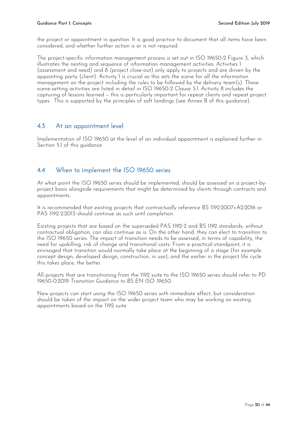the project or appointment in question. It is good practice to document that all items have been considered, and whether further action is or is not required.

The project-specific information management process is set out in ISO 19650-2 Figure 3, which illustrates the nesting and sequence of information management activities. Activities 1 (assessment and need) and 8 (project close-out) only apply to projects and are driven by the appointing party (client). Activity 1 is crucial as this sets the scene for all the information management on the project including the rules to be followed by the delivery team(s). These scene-setting activities are listed in detail in ISO 19650-2 Clause 5.1. Activity 8 includes the capturing of lessons learned – this is particularly important for repeat clients and repeat project types. This is supported by the principles of soft landings (see Annex B of this guidance).

## <span id="page-19-0"></span>4.3 At an appointment level

Implementation of ISO 19650 at the level of an individual appointment is explained further in Section 5.1 of this guidance.

## <span id="page-19-1"></span>4.4 When to implement the ISO 19650 series

At what point the ISO 19650 series should be implemented, should be assessed on a project-byproject basis alongside requirements that might be determined by clients through contracts and appointments.

It is recommended that existing projects that *contractually* reference BS 1192:2007+A2:2016 or PAS 1192-2:2013 should continue as such until completion.

Existing projects that are based on the superseded PAS 1192-2 and BS 1192 standards, without contractual obligation, can also continue as is. On the other hand, they can elect to transition to the ISO 19650 series. The impact of transition needs to be assessed, in terms of capability, the need for upskilling, risk of change and transitional costs. From a practical standpoint, it is envisaged that transition would normally take place at the beginning of a stage (for example: concept design, developed design, construction, in use), and the earlier in the project life cycle this takes place, the better.

All projects that are transitioning from the 1192 suite to the ISO 19650 series should refer to PD 19650-0:2019 *Transition Guidance to BS EN ISO 19650*.

New projects can start using the ISO 19650 series with immediate effect, but consideration should be taken of the impact on the wider project team who may be working on existing appointments based on the 1192 suite.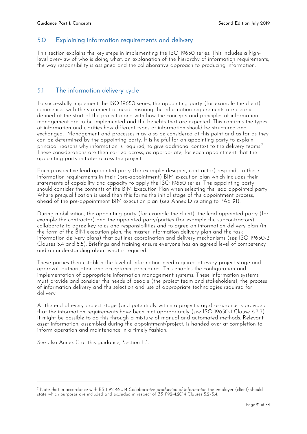## <span id="page-20-0"></span>5.0 Explaining information requirements and delivery

This section explains the key steps in implementing the ISO 19650 series. This includes a highlevel overview of who is doing what, an explanation of the hierarchy of information requirements, the way responsibility is assigned and the collaborative approach to producing information.

## <span id="page-20-1"></span>5.1 The information delivery cycle

To successfully implement the ISO 19650 series, the appointing party (for example the client) commences with the statement of need, ensuring the information requirements are clearly defined at the start of the project along with how the concepts and principles of information management are to be implemented and the benefits that are expected. This confirms the types of information and clarifies how different types of information should be structured and exchanged. Management and processes may also be considered at this point and as far as they can be determined by the appointing party. It is helpful for an appointing party to explain principal reasons why information is required, to give additional context to the delivery teams. 7 These considerations are then carried across, as appropriate, for each appointment that the appointing party initiates across the project.

Each prospective lead appointed party (for example: designer, contractor) responds to these information requirements in their (pre-appointment) BIM execution plan which includes their statements of capability and capacity to apply the ISO 19650 series. The appointing party should consider the contents of the BIM Execution Plan when selecting the lead appointed party. Where prequalification is used then this forms the initial stage of the appointment process, ahead of the pre-appointment BIM execution plan (see Annex D relating to PAS 91).

During mobilisation, the appointing party (for example the client), the lead appointed party (for example the contractor) and the appointed party/parties (for example the subcontractors) collaborate to agree key roles and responsibilities and to agree an information delivery plan (in the form of the BIM execution plan, the master information delivery plan and the task information delivery plans) that outlines coordination and delivery mechanisms (see ISO 19650-2 Clauses 5.4 and 5.5). Briefings and training ensure everyone has an agreed level of competency and an understanding about what is required.

These parties then establish the level of information need required at every project stage and approval, authorisation and acceptance procedures. This enables the configuration and implementation of appropriate information management systems. These information systems must provide and consider the needs of people (the project team and stakeholders), the process of information delivery and the selection and use of appropriate technologies required for delivery.

At the end of every project stage (and potentially within a project stage) assurance is provided that the information requirements have been met appropriately (see ISO 19650-1 Clause 6.3.3). It might be possible to do this through a mixture of manual and automated methods. Relevant asset information, assembled during the appointment/project, is handed over at completion to inform operation and maintenance in a timely fashion.

See also Annex C of this guidance, Section E.1.

-

<sup>7</sup> Note that in accordance with BS 1192-4:2014 *Collaborative production of information* the employer (client) should state which purposes are included and excluded in respect of BS 1192-4:2014 Clauses 5.2–5.4.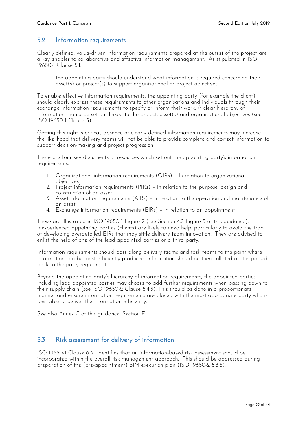## <span id="page-21-0"></span>5.2 Information requirements

Clearly defined, value-driven information requirements prepared at the outset of the project are a key enabler to collaborative and effective information management. As stipulated in ISO 19650-1 Clause 5.1:

the appointing party should understand what information is required concerning their asset(s) or project(s) to support organisational or project objectives.

To enable effective information requirements, the appointing party (for example the client) should clearly express these requirements to other organisations and individuals through their exchange information requirements to specify or inform their work. A clear hierarchy of information should be set out linked to the project, asset(s) and organisational objectives (see ISO 19650-1 Clause 5).

Getting this right is critical; absence of clearly defined information requirements may increase the likelihood that delivery teams will not be able to provide complete and correct information to support decision-making and project progression.

There are four key documents or resources which set out the appointing party's information requirements:

- 1. Organizational information requirements (OIRs) In relation to organizational objectives
- 2. Project information requirements (PIRs) In relation to the purpose, design and construction of an asset
- 3. Asset information requirements (AIRs) In relation to the operation and maintenance of an asset
- 4. Exchange information requirements (EIRs) in relation to an appointment

These are illustrated in ISO 19650-1 Figure 2 (see Section 4.2 Figure 3 of this guidance). Inexperienced appointing parties (clients) are likely to need help, particularly to avoid the trap of developing overdetailed EIRs that may stifle delivery team innovation. They are advised to enlist the help of one of the lead appointed parties or a third party.

Information requirements should pass along delivery teams and task teams to the point where information can be most efficiently produced. Information should be then collated as it is passed back to the party requiring it.

Beyond the appointing party's hierarchy of information requirements, the appointed parties including lead appointed parties may choose to add further requirements when passing down to their supply chain (see ISO 19650-2 Clause 5.4.3). This should be done in a proportionate manner and ensure information requirements are placed with the most appropriate party who is best able to deliver the information efficiently.

See also Annex C of this guidance, Section E.1.

## <span id="page-21-1"></span>5.3 Risk assessment for delivery of information

ISO 19650-1 Clause 6.3.1 identifies that an information-based risk assessment should be incorporated within the overall risk management approach. This should be addressed during preparation of the (pre-appointment) BIM execution plan (ISO 19650-2 5.3.6).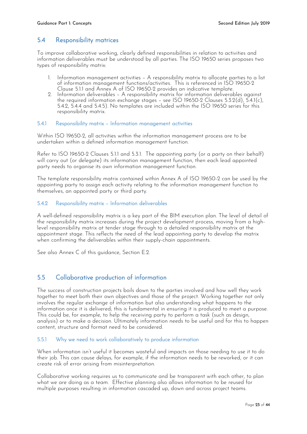## <span id="page-22-0"></span>5.4 Responsibility matrices

To improve collaborative working, clearly defined responsibilities in relation to activities and information deliverables must be understood by all parties. The ISO 19650 series proposes two types of responsibility matrix:

- 1. Information management activities A responsibility matrix to allocate parties to a list of information management functions/activities. This is referenced in ISO 19650-2 Clause 5.1.1 and Annex A of ISO 19650-2 provides an indicative template.
- 2. Information deliverables A responsibility matrix for information deliverables against the required information exchange stages – see ISO 19650-2 Clauses 5.3.2(d), 5.4.1(c), 5.4.2, 5.4.4 and 5.4.5). No templates are included within the ISO 19650 series for this responsibility matrix.

#### <span id="page-22-1"></span>5.4.1 Responsibility matrix – Information management activities

Within ISO 19650-2, all activities within the information management process are to be undertaken within a defined information management function.

Refer to ISO 19650-2 Clauses 5.1.1 and 5.3.1. The appointing party (or a party on their behalf) will carry out (or delegate) its information management function, then each lead appointed party needs to organise its own information management function.

The template responsibility matrix contained within Annex A of ISO 19650-2 can be used by the appointing party to assign each activity relating to the information management function to themselves, an appointed party or third party.

#### <span id="page-22-2"></span>5.4.2 Responsibility matrix – Information deliverables

A well-defined responsibility matrix is a key part of the BIM execution plan. The level of detail of the responsibility matrix increases during the project development process, moving from a highlevel responsibility matrix at tender stage through to a detailed responsibility matrix at the appointment stage. This reflects the need of the lead appointing party to develop the matrix when confirming the deliverables within their supply-chain appointments.

See also Annex C of this guidance, Section E.2.

## <span id="page-22-3"></span>5.5 Collaborative production of information

The success of construction projects boils down to the parties involved and how well they work together to meet both their own objectives and those of the project. Working together not only involves the regular exchange of information but also understanding what happens to the information once it is delivered; this is fundamental in ensuring it is produced to meet a purpose. This could be, for example, to help the receiving party to perform a task (such as design, analysis) or to make a decision. Ultimately information needs to be useful and for this to happen content, structure and format need to be considered.

#### <span id="page-22-4"></span>5.5.1 Why we need to work collaboratively to produce information

When information isn't useful it becomes wasteful and impacts on those needing to use it to do their job. This can cause delays, for example, if the information needs to be reworked, or it can create risk of error arising from misinterpretation.

Collaborative working requires us to communicate and be transparent with each other, to plan what we are doing as a team. Effective planning also allows information to be reused for multiple purposes resulting in information cascaded up, down and across project teams.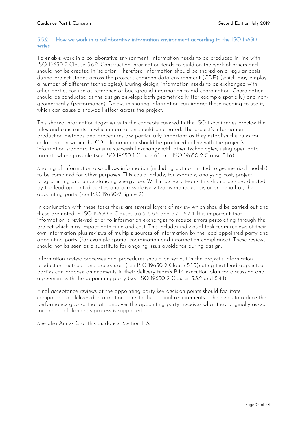#### <span id="page-23-0"></span>5.5.2 How we work in a collaborative information environment according to the ISO 19650 series

To enable work in a collaborative environment, information needs to be produced in line with ISO 19650-2 Clause 5.6.2*.* Construction information tends to build on the work of others and should not be created in isolation. Therefore, information should be shared on a regular basis during project stages across the project's common data environment (CDE) (which may employ a number of different technologies). During design, information needs to be exchanged with other parties for use as reference or background information to aid coordination. Coordination should be conducted as the design develops both geometrically (for example spatially) and nongeometrically (performance). Delays in sharing information can impact those needing to use it, which can cause a snowball effect across the project.

This shared information together with the concepts covered in the ISO 19650 series provide the rules and constraints in which information should be created. The project's information production methods and procedures are particularly important as they establish the rules for collaboration within the CDE. Information should be produced in line with the project's information standard to ensure successful exchange with other technologies, using open data formats where possible (see ISO 19650-1 Clause 6.1 and ISO 19650-2 Clause 5.1.6).

Sharing of information also allows information (including but not limited to geometrical models) to be combined for other purposes. This could include, for example, analysing cost, project programming and understanding energy use. Within delivery teams this should be co-ordinated by the lead appointed parties and across delivery teams managed by, or on behalf of, the appointing party (see ISO 19650-2 figure 2).

In conjunction with these tasks there are several layers of review which should be carried out and these are noted in ISO 19650-2 Clauses 5.6.3–5.6.5 and 5.7.1–5.7.4*.* It is important that information is reviewed prior to information exchanges to reduce errors percolating through the project which may impact both time and cost. This includes individual task team reviews of their own information plus reviews of multiple sources of information by the lead appointed party and appointing party (for example spatial coordination and information compliance). These reviews should not be seen as a substitute for ongoing issue avoidance during design.

Information review processes and procedures should be set out in the project's information production methods and procedures (see ISO 19650-2 Clause 5.1.5)noting that lead appointed parties can propose amendments in their delivery team's BIM execution plan for discussion and agreement with the appointing party (see ISO 19650-2 Clauses 5.3.2 and 5.4.1).

Final acceptance reviews at the appointing party key decision points should facilitate comparison of delivered information back to the original requirements. This helps to reduce the performance gap so that at handover the appointing party receives what they originally asked for and a soft-landings process is supported.

See also Annex C of this guidance, Section E.3.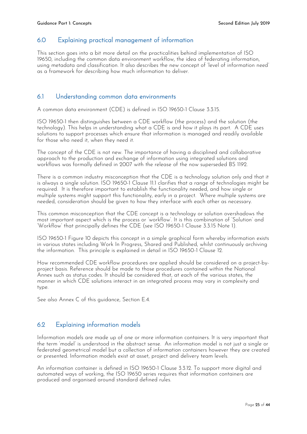## <span id="page-24-0"></span>6.0 Explaining practical management of information

This section goes into a bit more detail on the practicalities behind implementation of ISO 19650, including the common data environment workflow, the idea of federating information, using metadata and classification. It also describes the new concept of 'level of information need' as a framework for describing how much information to deliver.

## <span id="page-24-1"></span>6.1 Understanding common data environments

A common data environment (CDE) is defined in ISO 19650-1 Clause 3.3.15.

ISO 19650-1 then distinguishes between a CDE workflow (the process) and the solution (the technology). This helps in understanding what a CDE is and how it plays its part. A CDE uses solutions to support processes which ensure that information is managed and readily available for those who need it, when they need it.

The concept of the CDE is not new. The importance of having a disciplined and collaborative approach to the production and exchange of information using integrated solutions and workflows was formally defined in 2007 with the release of the now superseded BS 1192.

There is a common industry misconception that the CDE is a technology solution only and that it is always a single solution. ISO 19650-1 Clause 11.1 clarifies that a range of technologies might be required. It is therefore important to establish the functionality needed, and how single or multiple systems might support this functionality, early in a project. Where multiple systems are needed, consideration should be given to how they interface with each other as necessary.

This common misconception that the CDE concept is a technology or solution overshadows the most important aspect which is the process or 'workflow'. It is this combination of 'Solution' and 'Workflow' that principally defines the CDE (see ISO 19650-1 Clause 3.3.15 Note 1).

ISO 19650-1 Figure 10 depicts this concept in a simple graphical form whereby information exists in various states including Work In Progress, Shared and Published, whilst continuously archiving the information. This principle is explained in detail in ISO 19650-1 Clause 12.

How recommended CDE workflow procedures are applied should be considered on a project-byproject basis. Reference should be made to those procedures contained within the National Annex such as status codes. It should be considered that, at each of the various states, the manner in which CDE solutions interact in an integrated process may vary in complexity and type.

See also Annex C of this guidance, Section E.4.

## <span id="page-24-2"></span>6.2 Explaining information models

Information models are made up of one or more information containers. It is very important that the term 'model' is understood in the abstract sense. An information model is not just a single or federated geometrical model but a collection of information containers however they are created or presented. Information models exist at asset, project and delivery team levels.

An information container is defined in ISO 19650-1 Clause 3.3.12. To support more digital and automated ways of working, the ISO 19650 series requires that information containers are produced and organised around standard defined rules.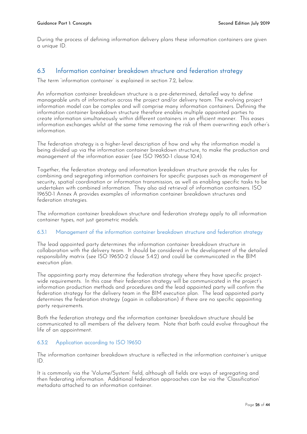During the process of defining information delivery plans these information containers are given a unique ID.

## <span id="page-25-0"></span>6.3 Information container breakdown structure and federation strategy

The term 'information container' is explained in section 7.2, below.

An information container breakdown structure is a pre-determined, detailed way to define manageable units of information across the project and/or delivery team. The evolving project information model can be complex and will comprise many information containers. Defining the information container breakdown structure therefore enables multiple appointed parties to create information simultaneously within different containers in an efficient manner. This eases information exchanges whilst at the same time removing the risk of them overwriting each other's information.

The federation strategy is a higher-level description of how and why the information model is being divided up via the information container breakdown structure, to make the production and management of the information easier (see ISO 19650-1 clause 10.4).

Together, the federation strategy and information breakdown structure provide the rules for combining and segregating information containers for specific purposes such as management of security, spatial coordination or information transmission, as well as enabling specific tasks to be undertaken with combined information. They also aid retrieval of information containers. ISO 19650-1 Annex A provides examples of information container breakdown structures and federation strategies.

The information container breakdown structure and federation strategy apply to all information container types, not just geometric models.

#### <span id="page-25-1"></span>6.3.1 Management of the information container breakdown structure and federation strategy

The lead appointed party determines the information container breakdown structure in collaboration with the delivery team. It should be considered in the development of the detailed responsibility matrix (see ISO 19650-2 clause 5.4.2) and could be communicated in the BIM execution plan.

The appointing party may determine the federation strategy where they have specific projectwide requirements. In this case their federation strategy will be communicated in the project's information production methods and procedures and the lead appointed party will confirm the federation strategy for the delivery team in the BIM execution plan. The lead appointed party determines the federation strategy (again in collaboration) if there are no specific appointing party requirements.

Both the federation strategy and the information container breakdown structure should be communicated to all members of the delivery team. Note that both could evolve throughout the life of an appointment.

#### <span id="page-25-2"></span>6.3.2 Application according to ISO 19650

The information container breakdown structure is reflected in the information container's unique ID.

It is commonly via the 'Volume/System' field, although all fields are ways of segregating and then federating information. Additional federation approaches can be via the 'Classification' metadata attached to an information container.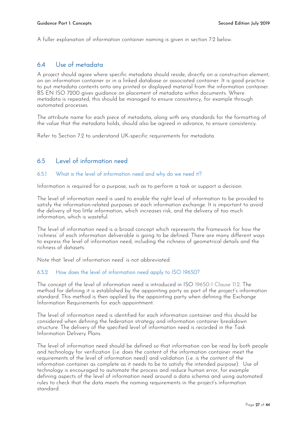A fuller explanation of information container naming is given in section 7.2 below.

## <span id="page-26-0"></span>6.4 Use of metadata

A project should agree where specific metadata should reside, directly on a construction element, on an information container or in a linked database or associated container. It is good practice to put metadata contents onto any printed or displayed material from the information container. BS EN ISO 7200 gives guidance on placement of metadata within documents. Where metadata is repeated, this should be managed to ensure consistency, for example through automated processes.

The attribute name for each piece of metadata, along with any standards for the formatting of the value that the metadata holds, should also be agreed in advance, to ensure consistency.

Refer to Section 7.2 to understand UK-specific requirements for metadata.

## <span id="page-26-1"></span>6.5 Level of information need

#### <span id="page-26-2"></span>6.5.1 What is the level of information need and why do we need it?

Information is required for a purpose, such as to perform a task or support a decision.

The level of information need is used to enable the right level of information to be provided to satisfy the information-related purposes at each information exchange. It is important to avoid the delivery of too little information, which increases risk, and the delivery of too much information, which is wasteful.

The level of information need is a broad concept which represents the framework for how the 'richness' of each information deliverable is going to be defined. There are many different ways to express the level of information need, including the richness of geometrical details and the richness of datasets.

Note that 'level of information need' is not abbreviated.

#### <span id="page-26-3"></span>6.5.2 How does the level of information need apply to ISO 19650?

The concept of the level of information need is introduced in ISO 19650-1 Clause 11.2*.* The method for defining it is established by the appointing party as part of the project's information standard. This method is then applied by the appointing party when defining the Exchange Information Requirements for each appointment.

The level of information need is identified for each information container and this should be considered when defining the federation strategy and information container breakdown structure. The delivery of the specified level of information need is recorded in the Task Information Delivery Plans.

The level of information need should be defined so that information can be read by both people and technology for verification (i.e. does the content of the information container meet the requirements of the level of information need) and validation (i.e. is the content of the information container as complete as it needs to be to satisfy the intended purpose). Use of technology is encouraged to automate the process and reduce human error, for example defining aspects of the level of information need around a data schema and using automated rules to check that the data meets the naming requirements in the project's information standard.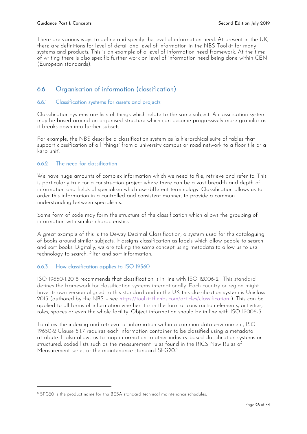There are various ways to define and specify the level of information need. At present in the UK, there are definitions for level of detail and level of information in the NBS Toolkit for many systems and products. This is an example of a level of information need framework. At the time of writing there is also specific further work on level of information need being done within CEN (European standards).

## <span id="page-27-0"></span>6.6 Organisation of information (classification)

#### <span id="page-27-1"></span>6.6.1 Classification systems for assets and projects

Classification systems are lists of things which relate to the same subject. A classification system may be based around an organised structure which can become progressively more granular as it breaks down into further subsets.

For example, the NBS describe a classification system as 'a hierarchical suite of tables that support classification of all "things" from a university campus or road network to a floor tile or a kerb unit'.

#### <span id="page-27-2"></span>6.6.2 The need for classification

We have huge amounts of complex information which we need to file, retrieve and refer to. This is particularly true for a construction project where there can be a vast breadth and depth of information and fields of specialism which use different terminology. Classification allows us to order this information in a controlled and consistent manner, to provide a common understanding between specialisms.

Some form of code may form the structure of the classification which allows the grouping of information with similar characteristics.

A great example of this is the Dewey Decimal Classification, a system used for the cataloguing of books around similar subjects. It assigns classification as labels which allow people to search and sort books. Digitally, we are taking the same concept using metadata to allow us to use technology to search, filter and sort information.

#### <span id="page-27-3"></span>6.6.3 How classification applies to ISO 19560

-

ISO 19650-1:2018 recommends that classification is in line with ISO 12006-2. This standard defines the framework for classification systems internationally. Each country or region might have its own version aligned to this standard and in the UK this classification system is Uniclass 2015 (authored by the NBS – see<https://toolkit.thenbs.com/articles/classification> ). This can be applied to all forms of information whether it is in the form of construction elements, activities, roles, spaces or even the whole facility. Object information should be in line with ISO 12006-3.

To allow the indexing and retrieval of information within a common data environment, ISO 19650-2 Clause 5.1.7 requires each information container to be classified using a metadata attribute. It also allows us to map information to other industry-based classification systems or structured, coded lists such as the measurement rules found in the RICS New Rules of Measurement series or the maintenance standard SFG20. 8

<sup>&</sup>lt;sup>8</sup> SFG20 is the product name for the BESA standard technical maintenance schedules.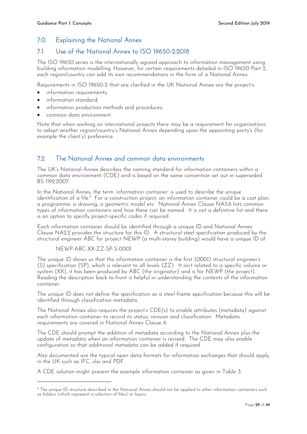## <span id="page-28-0"></span>7.0 Explaining the National Annex

## <span id="page-28-1"></span>7.1 Use of the National Annex to ISO 19650-2:2018

The ISO 19650 series is the internationally agreed approach to information management using building information modelling. However, for certain requirements detailed in ISO 19650 Part 2*,* each region/country can add its own recommendations in the form of a National Annex.

Requirements in ISO 19650-2 that are clarified in the UK National Annex are the project's:

- information requirements;
- information standard;
- information production methods and procedures;
- common data environment.

Note that when working on international projects there may be a requirement for organisations to adopt another region/country's National Annex depending upon the appointing party's (for example the client's) preference.

## <span id="page-28-2"></span>7.2 The National Annex and common data environments

The UK's National Annex describes the naming standard for information containers within a common data environment (CDE) and is based on the same convention set out in superseded BS 1192:2007.

In the National Annex, the term 'information container' is used to describe the unique identification of a file.<sup>9</sup> For a construction project, an information container could be a cost plan, a programme, a drawing, a geometric model etc. National Annex Clause NA3.6 lists common types of information containers and how these can be named. It is not a definitive list and there is an option to specify project-specific codes if required.

Each information container should be identified through a unique ID and National Annex Clause NA2.2 provides the structure for this ID. A structural steel specification produced by the structural engineer *ABC* for project *NEWP* (a multi-storey building) would have a unique ID of:

NEWP-ABC-XX-ZZ-SP-S-0001

-

The unique ID shows us that the information container is the first (0001) structural engineer's (S) specification (SP), which is relevant to all levels (ZZ). It isn't related to a specific volume or system (XX), it has been produced by ABC (the originator) and is for NEWP (the project). Reading the description back to front is helpful in understanding the contents of the information container.

The unique ID does not define the specification as a *steel frame* specification because this will be identified through classification metadata.

The National Annex also requires the project's CDE(s) to enable attributes (metadata) against each information container to record its status, revision and classification. Metadata requirements are covered in National Annex Clause 4.

The CDE should prompt the addition of metadata according to the National Annex plus the update of metadata when an information container is revised. The CDE may also enable configuration so that additional metadata can be added if required.

Also documented are the typical open data formats for information exchanges that should apply in the UK such as IFC, xlsx and PDF.

A CDE solution might present the example information container as given in Table 3.

<sup>9</sup> The unique ID structure described in the National Annex should not be applied to other information containers such as folders (which represent a selection of files) or layers.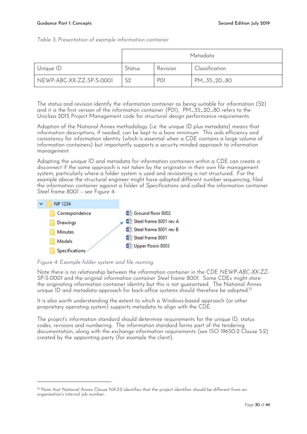#### <span id="page-29-1"></span>*Table 3: Presentation of example information container*

|                          |                |                 | Metadata       |
|--------------------------|----------------|-----------------|----------------|
| Unique ID                | Status         | Revision        | Classification |
| NEWP-ABC-XX-ZZ-SP-S-0001 | S <sub>2</sub> | PO <sub>1</sub> | PM_35_20_80    |

The status and revision identify the information container as being suitable for information (S2) and it is the first version of the information container (P01). PM\_35\_20\_80 refers to the Uniclass 2015 Project Management code for structural design performance requirements.

Adoption of the National Annex methodology (i.e. the unique ID plus metadata) means that information descriptions, if needed, can be kept to a bare minimum. This aids efficiency and consistency for information identity (which is essential when a CDE contains a large volume of information containers) but importantly supports a security-minded approach to information management.

Adopting the unique ID and metadata for information containers within a CDE can create a disconnect if the same approach is not taken by the originator in their own file management system, particularly where a folder system is used and revisioning is not structured. For the example above the structural engineer might have adopted different number sequencing, filed the information container against a folder of *Specifications* and called the information container *Steel frame 8001* – see Figure 4:



#### <span id="page-29-0"></span>*Figure 4: Example folder system and file naming.*

-

Note there is no relationship between the information container in the CDE *NEWP-ABC-XX-ZZ-SP-S-0001* and the original information container *Steel frame 8001.* Some CDEs might store the originating information container identity but this is not guaranteed. The National Annex unique ID and metadata approach for back-office systems should therefore be adopted.<sup>10</sup>

It is also worth understanding the extent to which a Windows-based approach (or other proprietary operating system) supports metadata to align with the CDE.

The project's information standard should determine requirements for the unique ID, status codes, revisions and numbering. The information standard forms part of the tendering documentation, along with the exchange information requirements (see ISO 19650-2 Clause 5.2) created by the appointing party (for example the client).

<sup>10</sup> Note that National Annex Clause NA.3.2 identifies that the project identifier should be different from an organisation's internal job number.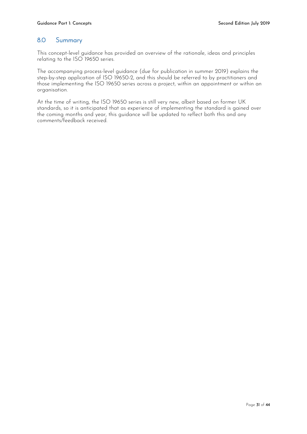## <span id="page-30-0"></span>8.0 Summary

This concept-level guidance has provided an overview of the rationale, ideas and principles relating to the ISO 19650 series.

The accompanying process-level guidance (due for publication in summer 2019) explains the step-by-step application of ISO 19650-2, and this should be referred to by practitioners and those implementing the ISO 19650 series across a project, within an appointment or within an organisation.

At the time of writing, the ISO 19650 series is still very new, albeit based on former UK standards, so it is anticipated that as experience of implementing the standard is gained over the coming months and year, this guidance will be updated to reflect both this and any comments/feedback received.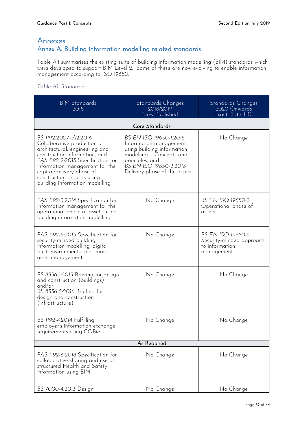## <span id="page-31-0"></span>Annexes Annex A: Building information modelling related standards

Table A.1 summarises the existing suite of building information modelling (BIM) standards which were developed to support BIM Level 2. Some of these are now evolving to enable information management according to ISO 19650.

### <span id="page-31-1"></span>*Table A1: Standards*

| <b>BIM Standards</b><br>2018                                                                                                                                                                                                                                                                | Standards Changes<br>2018/2019<br>Now Published                                                                                                                                                | Standards Changes<br>2020 Onwards<br>Exact Date TBC                                  |  |  |  |
|---------------------------------------------------------------------------------------------------------------------------------------------------------------------------------------------------------------------------------------------------------------------------------------------|------------------------------------------------------------------------------------------------------------------------------------------------------------------------------------------------|--------------------------------------------------------------------------------------|--|--|--|
|                                                                                                                                                                                                                                                                                             | Core Standards                                                                                                                                                                                 |                                                                                      |  |  |  |
| BS 1192:2007+A2:2016<br>Collaborative production of<br>architectural, engineering and<br>construction information, and<br>PAS 1192-2:2013 Specification for<br>information management for the<br>capital/delivery phase of<br>construction projects using<br>building information modelling | BS EN ISO 19650-1:2018<br>Information management<br>using building information<br>modelling - Concepts and<br>principles, and<br><b>BS EN ISO 19650-2:2018</b><br>Delivery phase of the assets | No Change                                                                            |  |  |  |
| PAS 1192-3:2014 Specification for<br>information management for the<br>operational phase of assets using<br>building information modelling                                                                                                                                                  | No Change                                                                                                                                                                                      | <b>BS EN ISO 19650-3</b><br>Operational phase of<br>assets                           |  |  |  |
| PAS 1192-5:2015 Specification for<br>security-minded building<br>information modelling, digital<br>built environments and smart<br>asset management                                                                                                                                         | No Change                                                                                                                                                                                      | <b>BS EN ISO 19650-5</b><br>Security-minded approach<br>to information<br>management |  |  |  |
| BS 8536-1:2015 Briefing for design<br>and construction (buildings)<br>and/or<br>BS 8536-2:2016 Briefing for<br>design and construction<br>(infrastructure)                                                                                                                                  | No Change                                                                                                                                                                                      | No Change                                                                            |  |  |  |
| BS 1192-4:2014 Fulfilling<br>employer's information exchange<br>requirements using COBie                                                                                                                                                                                                    | No Change                                                                                                                                                                                      | No Change                                                                            |  |  |  |
| As Required                                                                                                                                                                                                                                                                                 |                                                                                                                                                                                                |                                                                                      |  |  |  |
| PAS 1192-6:2018 Specification for<br>collaborative sharing and use of<br>structured Health and Safety<br>information using BIM                                                                                                                                                              | No Change                                                                                                                                                                                      | No Change                                                                            |  |  |  |
| BS 7000-4:2013 Design                                                                                                                                                                                                                                                                       | No Change                                                                                                                                                                                      | No Change                                                                            |  |  |  |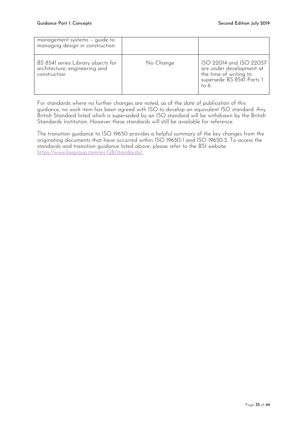| management systems - guide to<br>managing design in construction                    |           |                                                                                                                    |
|-------------------------------------------------------------------------------------|-----------|--------------------------------------------------------------------------------------------------------------------|
| BS 8541 series Library objects for<br>architecture, engineering and<br>construction | No Change | ISO 22014 and ISO 22057<br>are under development at<br>the time of writing to<br>supersede BS 8541 Parts 1<br>to 6 |

For standards where no further changes are noted, as of the date of publication of this guidance, no work item has been agreed with ISO to develop an equivalent ISO standard. Any British Standard listed which is superseded by an ISO standard will be withdrawn by the British Standards Institution. However these standards will still be available for reference.

The transition guidance to ISO 19650 provides a helpful summary of the key changes from the originating documents that have occurred within ISO 19650-1 and ISO 19650-2. To access the standards and transition guidance listed above, please refer to the BSI website [https://www.bsigroup.com/en-GB/standards/.](https://www.bsigroup.com/en-GB/standards/)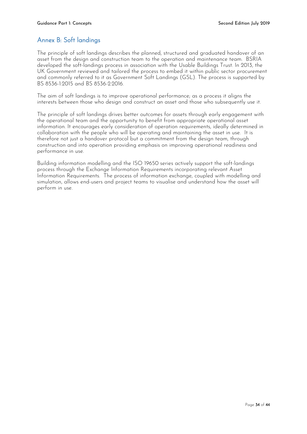## <span id="page-33-0"></span>Annex B: Soft landings

The principle of soft landings describes the planned, structured and graduated handover of an asset from the design and construction team to the operation and maintenance team. BSRIA developed the soft-landings process in association with the Usable Buildings Trust. In 2013, the UK Government reviewed and tailored the process to embed it within public sector procurement and commonly referred to it as Government Soft Landings (GSL). The process is supported by [BS 8536-1:2015](http://bim-level2.org/en/standards/) and BS 8536-2:2016.

The aim of soft landings is to improve operational performance; as a process it aligns the interests between those who design and construct an asset and those who subsequently use it.

The principle of soft landings drives better outcomes for assets through early engagement with the operational team and the opportunity to benefit from appropriate operational asset information. It encourages early consideration of operation requirements, ideally determined in collaboration with the people who will be operating and maintaining the asset in use. It is therefore not just a handover protocol but a commitment from the design team, through construction and into operation providing emphasis on improving operational readiness and performance in use.

Building information modelling and the ISO 19650 series actively support the soft-landings process through the Exchange Information Requirements incorporating relevant Asset Information Requirements. The process of information exchange, coupled with modelling and simulation, allows end-users and project teams to visualise and understand how the asset will perform in use.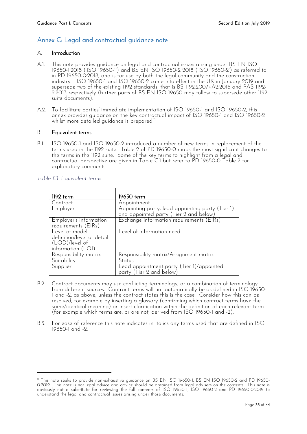## <span id="page-34-0"></span>Annex C: Legal and contractual guidance note

#### A. Introduction

- A.1. This note provides guidance on legal and contractual issues arising under BS EN ISO 19650-1:2018 ('ISO 19650-1') and BS EN ISO 19650-2 2018 ('ISO 19650-2') as referred to in PD 19650-0:2018, and is for use by both the legal community and the construction industry. ISO 19650-1 and ISO 19650-2 came into effect in the UK in January 2019 and supersede two of the existing 1192 standards, that is BS 1192:2007+A2:2016 and PAS 1192- 2:2013 respectively (further parts of BS EN ISO 19650 may follow to supersede other 1192 suite documents).
- A.2. To facilitate parties' immediate implementation of ISO 19650-1 and ISO 19650-2, this annex provides guidance on the key contractual impact of ISO 19650-1 and ISO 19650-2 whilst more detailed guidance is prepared. $^{\shortparallel}$

#### B. Equivalent terms

B.1. ISO 19650-1 and ISO 19650-2 introduced a number of new terms in replacement of the terms used in the 1192 suite. Table 2 of PD 19650-0 maps the most significant changes to the terms in the 1192 suite. Some of the key terms to highlight from a legal and contractual perspective are given in Table C.1 but refer to PD 19650-0 Table 2 for explanatory comments.

| 1192 term                                                                           | 19650 term                                                                                 |
|-------------------------------------------------------------------------------------|--------------------------------------------------------------------------------------------|
| Contract                                                                            | Appointment                                                                                |
| Employer                                                                            | Appointing party, lead appointing party (Tier 1)<br>and appointed party (Tier 2 and below) |
| Employer's information<br>requirements (EIRs)                                       | Exchange information requirements (EIRs)                                                   |
| Level of model<br>definition/level of detail<br>(LOD)/level of<br>information (LOI) | Level of information need                                                                  |
| Responsibility matrix                                                               | Responsibility matrix/Assignment matrix                                                    |
| Suitability                                                                         | Status                                                                                     |
| Supplier                                                                            | Lead appointment party (Tier 1)/appointed<br>party (Tier 2 and below)                      |

#### <span id="page-34-1"></span>*Table C1: Equivalent terms*

-

- B.2. Contract documents may use conflicting terminology, or a combination of terminology from different sources. Contract terms will not automatically be as defined in ISO 19650- 1 and -2, as above, unless the contract states this is the case. Consider how this can be resolved, for example by inserting a glossary (confirming which contract terms have the same/identical meaning) or insert clarification within the definition of each relevant term (for example which terms are, or are not, derived from ISO 19650-1 and -2).
- B.3. For ease of reference this note indicates in italics any terms used that are defined in ISO 19650-1 and -2.

<sup>11</sup> This note seeks to provide non-exhaustive guidance on BS EN ISO 19650-1, BS EN ISO 19650-2 and PD 19650- 0:2019. This note is not legal advice and advice should be obtained from legal advisers on the contents. This note is obviously not a substitute for reviewing the full contents of ISO 19650-1, ISO 19650-2 and PD 19650-0:2019 to understand the legal and contractual issues arising under those documents.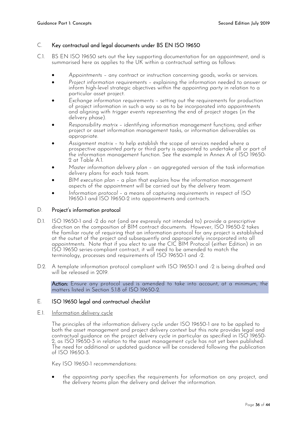#### C. Key contractual and legal documents under BS EN ISO 19650

- C.1. BS EN ISO 19650 sets out the key supporting documentation for an *appointment*, and is summarised here as applies to the UK within a contractual setting as follows:
	- *Appointments* any contract or instruction concerning goods, works or services.
	- *Project information requirements* explaining the information needed to answer or inform high-level strategic objectives within the *appointing party* in relation to a particular asset project.
	- *Exchange information requirements* setting out the requirements for production of project information in such a way so as to be incorporated into *appointments* and aligning with *trigger events* representing the end of project stages (in the delivery phase).
	- *Responsibility matrix* identifying information management functions; and either project or asset information management tasks, or information deliverables as appropriate.
	- *Assignment matrix* to help establish the scope of services needed where a prospective *appointed party* or third party is appointed to undertake all or part of the information management function. See the example in Annex A of ISO 19650- 2 at Table A.1.
	- *Master information delivery plan* an aggregated version of the task information delivery plans for each task team.
	- *BIM execution plan* a plan that explains how the information management aspects of the *appointment* will be carried out by the *delivery team*.
	- *Information protocol* a means of capturing requirements in respect of ISO 19650-1 and ISO 19650-2 into appointments and contracts.

#### D. Project's information protocol

- D.1. ISO 19650-1 and -2 do not (and are expressly not intended to) provide a prescriptive direction on the composition of BIM contract documents. However, ISO 19650-2 takes the familiar route of requiring that an information protocol for any project is established at the outset of the project and subsequently and appropriately incorporated into all *appointments.* Note that if you elect to use the CIC BIM Protocol (either Edition) in an ISO 19650 series-compliant contract, it will need to be amended to match the terminology, processes and requirements of ISO 19650-1 and -2.
- D.2. A template information protocol compliant with ISO 19650-1 and -2 is being drafted and will be released in 2019.

Action: Ensure any protocol used is amended to take into account, at a minimum, the matters listed in Section 5.1.8 of ISO 19650-2.

#### E. ISO 19650 legal and contractual checklist

#### E.1. Information delivery cycle

The principles of the information delivery cycle under ISO 19650-1 are to be applied to both the asset management and project delivery context but this note provides legal and contractual guidance on the project delivery cycle in particular as specified in ISO 19650- 2, as ISO 19650-3 in relation to the asset management cycle has not yet been published. The need for additional or updated guidance will be considered following the publication of ISO 19650-3.

Key ISO 19650-1 recommendations:

 the *appointing party* specifies the requirements for information on any project, and the *delivery teams* plan the delivery and deliver the information.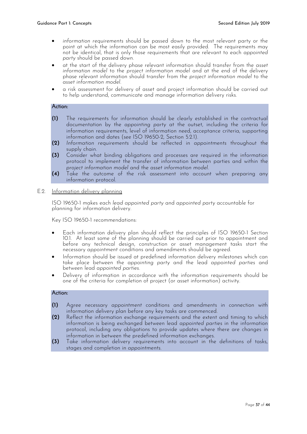- *information requirements* should be passed down to the most relevant party or the point at which the information can be most easily provided. The requirements may not be identical, that is only those requirements that are relevant to each *appointed party* should be passed down.
- at the start of the delivery phase relevant information should transfer from the *asset information model* to the *project information model* and at the end of the delivery phase relevant information should transfer from the *project information model* to the *asset information model.*
- a risk assessment for delivery of asset and project information should be carried out to help understand, communicate and manage information delivery risks.

#### Action:

- **(1)** The requirements for information should be clearly established in the contractual documentation by the *appointing party* at the outset, including the criteria for information requirements, level of information need, acceptance criteria, supporting information and dates (see ISO 19650-2, Section 5.2.1).
- **(2)** *Information requirements* should be reflected in *appointments* throughout the supply chain.
- **(3)** Consider what binding obligations and processes are required in the information protocol to implement the transfer of information between parties and within the *project information model* and the *asset information model*.
- **(4)** Take the outcome of the risk assessment into account when preparing any information protocol.
- E.2. Information delivery planning

ISO 19650-1 makes each *lead appointed party* and *appointed party* accountable for planning for information delivery.

Key ISO 19650-1 recommendations:

- Each information delivery plan should reflect the principles of ISO 19650-1 Section 10.1. At least some of the planning should be carried out prior to appointment and before any technical design, construction or asset management tasks start the necessary *appointment* conditions and amendments should be agreed.
- Information should be issued at predefined information delivery milestones which can take place between the *appointing party* and the lead *appointed parties* and between lead *appointed parties.*
- Delivery of information in accordance with the information requirements should be one of the criteria for completion of project (or asset information) activity.

#### Action:

- **(1)** Agree necessary *appointment* conditions and amendments in connection with information delivery plan before any key tasks are commenced.
- **(2)** Reflect the information exchange requirements and the extent and timing to which information is being exchanged between lead *appointed parties* in the information protocol, including any obligations to provide updates where there are changes in information in between the predefined information exchanges.
- **(3)** Take information delivery requirements into account in the definitions of tasks, stages and completion in *appointments*.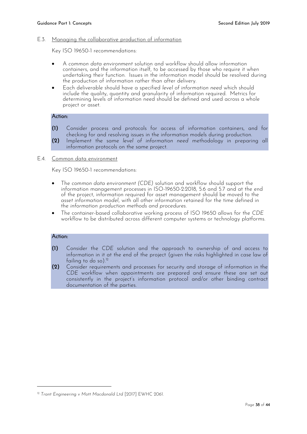#### E.3. Managing the collaborative production of information

Key ISO 19650-1 recommendations:

- A *common data environment* solution and workflow should allow information containers, and the information itself, to be accessed by those who require it when undertaking their function. Issues in the information model should be resolved during the production of information rather than after delivery.
- Each deliverable should have a specified *level of information need* which should include the quality, quantity and granularity of information required. Metrics for determining levels of information need should be defined and used across a whole project or asset.

#### Action:

- **(1)** Consider process and protocols for access of information containers, and for checking for and resolving issues in the information models during production.
- **(2)** Implement the same *level of information need* methodology in preparing all information protocols on the same project.
- E.4. Common data environment

Key ISO 19650-1 recommendations:

- The *common data environment (CDE)* solution and workflow should support the information management processes in ISO-19650-2:2018, 5.6 and 5.7 and at the end of the project, information required for asset management should be moved to the asset information model, with all other information retained for the time defined in the *information production methods and procedures.*
- The container-based collaborative working process of ISO 19650 allows for the *CDE*  workflow to be distributed across different computer systems or technology platforms.

#### Action:

-

- **(1)** Consider the *CDE* solution and the approach to ownership of and access to information in it at the end of the project (given the risks highlighted in case law of failing to do so). 12
- **(2)** Consider requirements and processes for security and storage of information in the *CDE* workflow when *appointments* are prepared and ensure these are set out consistently in the project's information protocol and/or other binding contract documentation of the parties.

<sup>12</sup> *Trant Engineering v Mott Macdonald Ltd* [2017] EWHC 2061.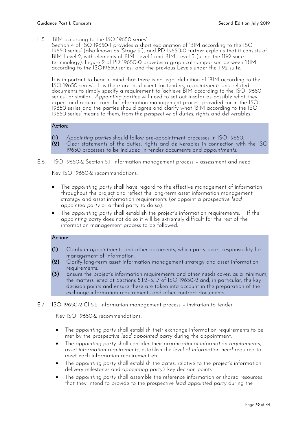E.5. 'BIM according to the ISO 19650 series'

Section 4 of ISO 19650-1 provides a short explanation of 'BIM according to the ISO 19650 series' (also known as 'Stage 2'), and PD 19650-0 further explains that it consists of BIM Level 2, with elements of BIM Level 1 and BIM Level 3 (using the 1192 suite terminology). Figure 2 of PD 19650-0 provides a graphical comparison between 'BIM according to the ISO19650 series', and the previous Levels under the 1192 suite.

It is important to bear in mind that there is no legal definition of 'BIM according to the ISO 19650 series'. It is therefore insufficient for tenders, *appointments* and related documents to simply specify a requirement to 'achieve BIM according to the ISO 19650 series', or similar. *Appointing parties* will need to set out insofar as possible what they expect and require from the information management process provided for in the ISO 19650 series and the parties should agree and clarify what 'BIM according to the ISO 19650 series' means to them, from the perspective of duties, rights and deliverables.

#### Action:

- **(1)** *Appointing parties* should follow pre-appointment processes in ISO 19650.
- **(2)** Clear statements of the duties, rights and deliverables in connection with the ISO 19650 processes to be included in tender documents and *appointments.*

#### E.6. ISO 19650-2 Section 5.1: Information management process – assessment and need

Key ISO 19650-2 recommendations:

- The *appointing party* shall have regard to the effective management of information throughout the project and reflect the long-term asset information management strategy and asset information requirements (or appoint a prospective *lead appointed party* or a third party to do so).
- The *appointing party* shall establish the project's information requirements. If the *appointing party* does not do so it will be extremely difficult for the rest of the information management process to be followed.

#### Action:

- **(1)** Clarify in *appointments* and other documents, which party bears responsibility for management of information.
- **(2)** Clarify long-term asset information management strategy and asset information requirements.
- **(3)** Ensure the project's information requirements and other needs cover, as a minimum, the matters listed at Sections 5.1.2–5.1.7 of ISO 19650-2 and, in particular, the key decision points and ensure these are taken into account in the preparation of the exchange information requirements and other contract documents.

#### E.7. ISO 19650-2 Cl 5.2: Information management process – invitation to tender

Key ISO 19650-2 recommendations:

- The *appointing party* shall establish their exchange information requirements to be met by the prospective *lead appointed party* during the appointment.
- The *appointing party* shall consider their *organizational information requirements*, *asset information requirements*, establish the *level of information need* required to meet each information requirement etc.
- The *appointing party* shall establish the dates, relative to the project's information delivery milestones and *appointing party's* key decision points.
- The *appointing party* shall assemble the reference information or shared resources that they intend to provide to the prospective *lead appointed party* during the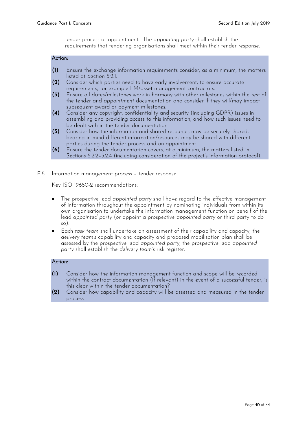tender process or appointment. The *appointing party* shall establish the requirements that tendering organisations shall meet within their tender response.

#### Action:

- **(1)** Ensure the exchange information requirements consider, as a minimum, the matters listed at Section 5.2.1.
- **(2)** Consider which parties need to have early involvement, to ensure accurate requirements, for example FM/asset management contractors.
- **(3)** Ensure all dates/milestones work in harmony with other milestones within the rest of the tender and *appointment* documentation and consider if they will/may impact subsequent award or payment milestones.
- **(4)** Consider any copyright, confidentiality and security (including GDPR) issues in assembling and providing access to this information, and how such issues need to be dealt with in the tender documentation.
- **(5)** Consider how the information and shared resources may be securely shared, bearing in mind different information/resources may be shared with different parties during the tender process and on appointment.
- **(6)** Ensure the tender documentation covers, at a minimum, the matters listed in Sections 5.2.2–5.2.4 (including consideration of the project's information protocol).

#### E.8. Information management process – tender response

Key ISO 19650-2 recommendations:

- The prospective lead *appointed party* shall have regard to the effective management of information throughout the appointment by nominating individuals from within its own organisation to undertake the information management function on behalf of the lead *appointed party* (or appoint a prospective *appointed party* or third party to do so).
- Each *task team* shall undertake an assessment of their capability and capacity; the *delivery team's* capability and capacity and proposed mobilisation plan shall be assessed by the prospective lead *appointed party*; the prospective lead *appointed party* shall establish the *delivery team's* risk register.

#### Action:

- **(1)** Consider how the information management function and scope will be recorded within the contract documentation (if relevant) in the event of a successful tender; is this clear within the tender documentation?
- **(2)** Consider how capability and capacity will be assessed and measured in the tender process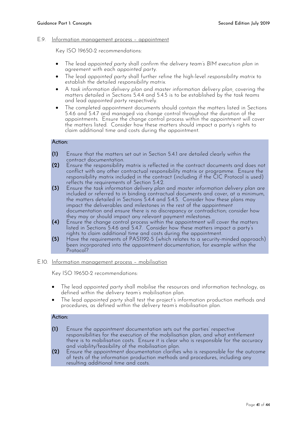#### E.9. Information management process – appointment

Key ISO 19650-2 recommendations:

- The lead *appointed party* shall confirm the *delivery team's BIM execution plan* in agreement with each *appointed party*.
- The lead *appointed party* shall further refine the high-level *responsibility matrix* to establish the detailed *responsibility matrix*.
- A *task information delivery plan* and *master information delivery plan,* covering the matters detailed in Sections 5.4.4 and 5.4.5 is to be established by the *task teams* and lead *appointed party* respectively.
- The completed appointment documents should contain the matters listed in Sections 5.4.6 and 5.4.7 and managed via change control throughout the duration of the appointments. Ensure the change control process within the *appointment* will cover the matters listed. Consider how these matters should impact a party's rights to claim additional time and costs during the appointment.

#### Action:

- **(1)** Ensure that the matters set out in Section 5.4.1 are detailed clearly within the contract documentation.
- **(2)** Ensure the responsibility matrix is reflected in the contract documents and does not conflict with any other contractual responsibility matrix or programme. Ensure the responsibility matrix included in the contract (including if the CIC Protocol is used) reflects the requirements of Section 5.4.2.
- **(3)** Ensure the *task information delivery plan* and *master information delivery plan* are included or referred to in binding contractual documents and cover, at a minimum, the matters detailed in Sections 5.4.4 and 5.4.5. Consider how these plans may impact the deliverables and milestones in the rest of the *appointment* documentation and ensure there is no discrepancy or contradiction; consider how they may or should impact any relevant payment milestones.
- **(4)** Ensure the change control process within the *appointment* will cover the matters listed in Sections 5.4.6 and 5.4.7. Consider how these matters impact a party's rights to claim additional time and costs during the appointment.
- **(5)** Have the requirements of PAS1192-5 (which relates to a security-minded approach) been incorporated into the *appointment* documentation, for example within the Protocol?
- E.10. Information management process mobilisation

Key ISO 19650-2 recommendations:

- The lead *appointed party* shall mobilise the resources and information technology, as defined within the *delivery team's* mobilisation plan.
- The lead *appointed party* shall test the project's information production methods and procedures, as defined within the *delivery team's* mobilisation plan.

#### Action:

- **(1)** Ensure the *appointment* documentation sets out the parties' respective responsibilities for the execution of the mobilisation plan, and what entitlement there is to mobilisation costs. Ensure it is clear who is responsible for the accuracy and viability/feasibility of the mobilisation plan.
- **(2)** Ensure the *appointment* documentation clarifies who is responsible for the outcome of tests of the information production methods and procedures, including any resulting additional time and costs.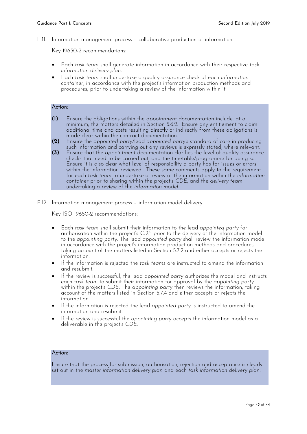#### E.11. Information management process – collaborative production of information

Key 19650-2 recommendations:

- Each *task team* shall generate information in accordance with their respective *task information delivery plan*.
- Each *task team* shall undertake a quality assurance check of each *information container*, in accordance with the project's information production methods and procedures, prior to undertaking a review of the information within it.

#### Action:

- **(1)** Ensure the obligations within the *appointment* documentation include, at a minimum, the matters detailed in Section 5.6.2. Ensure any entitlement to claim additional time and costs resulting directly or indirectly from these obligations is made clear within the contract documentation.
- **(2)** Ensure the *appointed party*/lead *appointed party's* standard of care in producing such information and carrying out any reviews is expressly stated, where relevant.
- **(3)** Ensure that the *appointment* documentation clarifies the level of quality assurance checks that need to be carried out, and the timetable/programme for doing so. Ensure it is also clear what level of responsibility a party has for issues or errors within the information reviewed. These same comments apply to the requirement for each *task team* to undertake a review of the information within the *information container* prior to sharing within the project's *CDE*, and the *delivery team* undertaking a review of the *information model*.

#### E.12. Information management process – information model delivery

Key ISO 19650-2 recommendations:

- Each *task team* shall submit their information to the lead *appointed party* for authorisation within the project's *CDE* prior to the delivery of the information model to the *appointing party*. The lead *appointed party* shall review the information model in accordance with the project's information production methods and procedures, taking account of the matters listed in Section 5.7.2 and either accepts or rejects the information.
- If the information is rejected the *task teams* are instructed to amend the information and resubmit.
- If the review is successful, the lead *appointed party* authorizes the model and instructs each *task team* to submit their information for approval by the *appointing party* within the project's *CDE*. The *appointing party* then reviews the information, taking account of the matters listed in Section 5.7.4 and either accepts or rejects the information.
- If the information is rejected the lead *appointed party* is instructed to amend the information and resubmit.
- If the review is successful the *appointing party* accepts the information model as a deliverable in the project's *CDE*.

#### Action:

Ensure that the process for submission, authorisation, rejection and acceptance is clearly set out in the *master information delivery plan* and each *task information delivery plan.*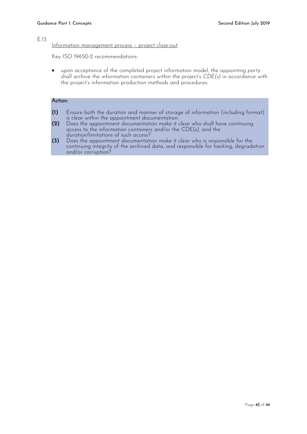#### E.13.

#### Information management process – project close-out

Key ISO 19650-2 recommendations:

 upon acceptance of the completed project information model, the *appointing party* shall archive the information containers within the project's *CDE(s)* in accordance with the project's information production methods and procedures.

#### Action:

- **(1)** Ensure both the duration and manner of storage of information (including format) is clear within the *appointment* documentation.
- **(2)** Does the *appointment* documentation make it clear who shall have continuing access to the information containers and/or the *CDE(s),* and the duration/limitations of such access?
- **(3)** Does the *appointment* documentation make it clear who is responsible for the continuing integrity of the archived data, and responsible for hacking, degradation and/or corruption?